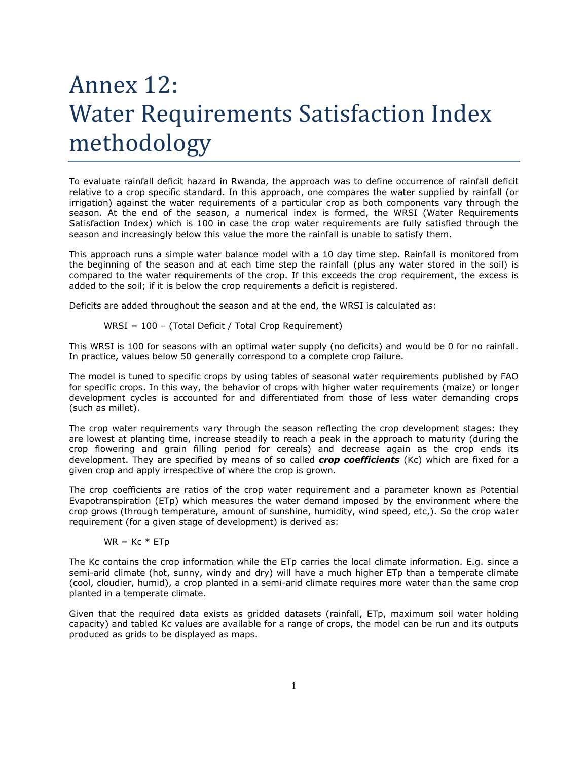## Annex 12: Water Requirements Satisfaction Index methodology

To evaluate rainfall deficit hazard in Rwanda, the approach was to define occurrence of rainfall deficit relative to a crop specific standard. In this approach, one compares the water supplied by rainfall (or irrigation) against the water requirements of a particular crop as both components vary through the season. At the end of the season, a numerical index is formed, the WRSI (Water Requirements Satisfaction Index) which is 100 in case the crop water requirements are fully satisfied through the season and increasingly below this value the more the rainfall is unable to satisfy them.

This approach runs a simple water balance model with a 10 day time step. Rainfall is monitored from the beginning of the season and at each time step the rainfall (plus any water stored in the soil) is compared to the water requirements of the crop. If this exceeds the crop requirement, the excess is added to the soil; if it is below the crop requirements a deficit is registered.

Deficits are added throughout the season and at the end, the WRSI is calculated as:

WRSI = 
$$
100 - (Total Deficit / Total Crop Required
$$
)

This WRSI is 100 for seasons with an optimal water supply (no deficits) and would be 0 for no rainfall. In practice, values below 50 generally correspond to a complete crop failure.

The model is tuned to specific crops by using tables of seasonal water requirements published by FAO for specific crops. In this way, the behavior of crops with higher water requirements (maize) or longer development cycles is accounted for and differentiated from those of less water demanding crops (such as millet).

The crop water requirements vary through the season reflecting the crop development stages: they are lowest at planting time, increase steadily to reach a peak in the approach to maturity (during the crop flowering and grain filling period for cereals) and decrease again as the crop ends its development. They are specified by means of so called *crop coefficients* (Kc) which are fixed for a given crop and apply irrespective of where the crop is grown.

The crop coefficients are ratios of the crop water requirement and a parameter known as Potential Evapotranspiration (ETp) which measures the water demand imposed by the environment where the crop grows (through temperature, amount of sunshine, humidity, wind speed, etc,). So the crop water requirement (for a given stage of development) is derived as:

## $WR = KC * ETp$

The Kc contains the crop information while the ETp carries the local climate information. E.g. since a semi-arid climate (hot, sunny, windy and dry) will have a much higher ETp than a temperate climate (cool, cloudier, humid), a crop planted in a semi-arid climate requires more water than the same crop planted in a temperate climate.

Given that the required data exists as gridded datasets (rainfall, ETp, maximum soil water holding capacity) and tabled Kc values are available for a range of crops, the model can be run and its outputs produced as grids to be displayed as maps.